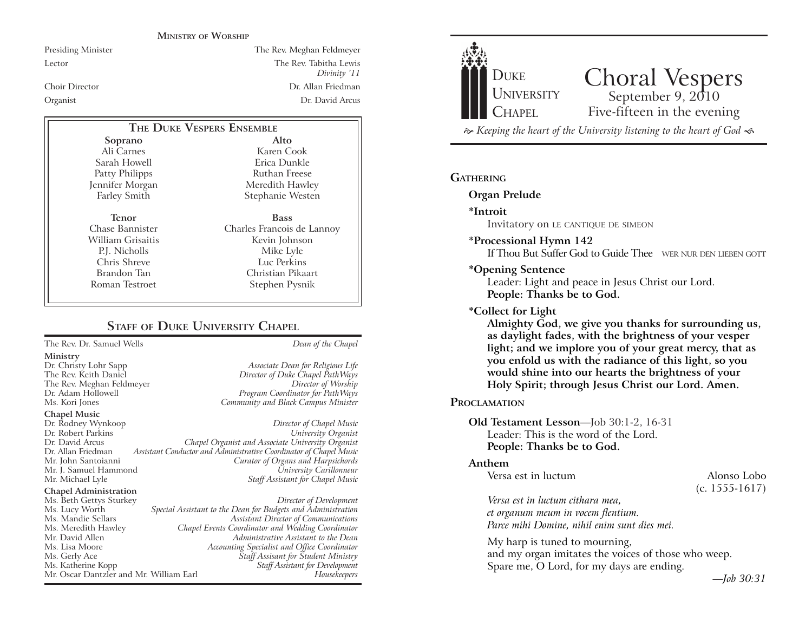#### **MINISTRY OF WORSHIP**

# Presiding Minister The Rev. Meghan Feldmeyer Lector The Rev. Tabitha Lewis *Divinity (11* Choir Director Dr. Allan Friedman Organist Dr. David Arcus

# **THE DUKE VESPERS ENSEMBLE**

**Soprano** Ali Carnes Sarah Howell Patty Philipps Jennifer Morgan Farley Smith

**Tenor** Chase Bannister William Grisaitis P.J. Nicholls Chris Shreve Brandon Tan Roman Testroet

**Alto** Karen Cook Erica Dunkle Ruthan Freese Meredith Hawley Stephanie Westen **Bass** Charles Francois de Lannoy

Kevin Johnson Mike Lyle Luc Perkins Christian Pikaart Stephen Pysnik

# **STAFF OF DUKE UNIVERSITY CHAPEL**

The Rev. Dr. Samuel Wells *Dean of the Chapel*

#### **Ministry**

#### **Chapel Music**

Dr. Rodney Wynkoop *Director of Chapel Music* Dr. Robert Parkins<br>Dr. David Arcus Dr. David Arcus *Chapel Organist and Associate University Organist* Assistant Conductor and Administrative Coordinator of Chapel Music Mr. John Santoianni *Curator of Organs and Harpsichords* Mr. J. Samuel Hammond<br>Mr. Michael Lyle

#### **Chapel Administration**

Dr. Christy Lohr Sapp *Associate Dean for Religious Life* Director of Duke Chapel PathWays The Rev. Meghan Feldmeyer *Director of Worship* Dr. Adam Hollowell *Program Coordinator for PathWays* Community and Black Campus Minister

**Staff Assistant for Chapel Music** 

#### Ms. Beth Gettys Sturkey *Director of Development* Ms. Lucy Worth *Special Assistant to the Dean for Budgets and Administration* Ms. Mandie Sellars *Assistant Director of Communications* Ms. Meredith Hawley *Chapel Events Coordinator and Wedding Coordinator* Mr. David Allen *Administrative Assistant to the Dean* Ms. Lisa Moore *Accounting Specialist and Office Coordinator* Ms. Gerly Ace *Staff Assisant for Student Ministry* **Staff Assistant for Development** Mr. Oscar Dantzler and Mr. William Earl *Housekeepers*



 $\approx$  Keeping the heart of the University listening to the heart of God  $\ll$ 

# **GATHERING**

**Organ Prelude**

**\*Introit** 

Invitatory on LE CANTIQUE DE SIMEON

**\*Processional Hymn 142**

If Thou But Suffer God to Guide Thee WER NUR DEN LIEBEN GOTT

### **\*Opening Sentence**

Leader: Light and peace in Jesus Christ our Lord. **People: Thanks be to God.**

#### **\*Collect for Light**

**Almighty God, we give you thanks for surrounding us, as daylight fades, with the brightness of your vesper light; and we implore you of your great mercy, that as you enfold us with the radiance of this light, so you would shine into our hearts the brightness of your Holy Spirit; through Jesus Christ our Lord. Amen.** 

# **PROCLAMATION**

## **Old Testament Lesson**—Job 30:1-2, 16-31 Leader: This is the word of the Lord. **People: Thanks be to God.**

#### **Anthem**

Versa est in luctum Alonso Lobo

(c. 1555-1617)

*Versa est in luctum cithara mea, et organum meum in vocem flentium. Parce mihi Domine, nihil enim sunt dies mei.*

My harp is tuned to mourning, and my organ imitates the voices of those who weep. Spare me, O Lord, for my days are ending.